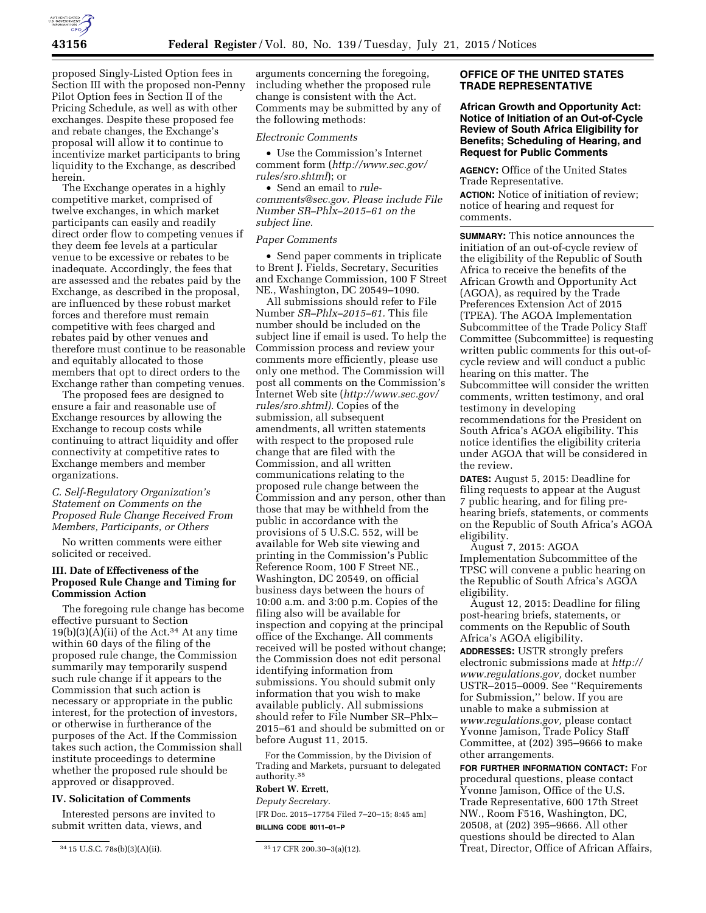

proposed Singly-Listed Option fees in Section III with the proposed non-Penny Pilot Option fees in Section II of the Pricing Schedule, as well as with other exchanges. Despite these proposed fee and rebate changes, the Exchange's proposal will allow it to continue to incentivize market participants to bring liquidity to the Exchange, as described herein.

The Exchange operates in a highly competitive market, comprised of twelve exchanges, in which market participants can easily and readily direct order flow to competing venues if they deem fee levels at a particular venue to be excessive or rebates to be inadequate. Accordingly, the fees that are assessed and the rebates paid by the Exchange, as described in the proposal, are influenced by these robust market forces and therefore must remain competitive with fees charged and rebates paid by other venues and therefore must continue to be reasonable and equitably allocated to those members that opt to direct orders to the Exchange rather than competing venues.

The proposed fees are designed to ensure a fair and reasonable use of Exchange resources by allowing the Exchange to recoup costs while continuing to attract liquidity and offer connectivity at competitive rates to Exchange members and member organizations.

# *C. Self-Regulatory Organization's Statement on Comments on the Proposed Rule Change Received From Members, Participants, or Others*

No written comments were either solicited or received.

# **III. Date of Effectiveness of the Proposed Rule Change and Timing for Commission Action**

The foregoing rule change has become effective pursuant to Section  $19(b)(3)(A)(ii)$  of the Act.<sup>34</sup> At any time within 60 days of the filing of the proposed rule change, the Commission summarily may temporarily suspend such rule change if it appears to the Commission that such action is necessary or appropriate in the public interest, for the protection of investors, or otherwise in furtherance of the purposes of the Act. If the Commission takes such action, the Commission shall institute proceedings to determine whether the proposed rule should be approved or disapproved.

# **IV. Solicitation of Comments**

Interested persons are invited to submit written data, views, and

arguments concerning the foregoing, including whether the proposed rule change is consistent with the Act. Comments may be submitted by any of the following methods:

### *Electronic Comments*

• Use the Commission's Internet comment form (*[http://www.sec.gov/](http://www.sec.gov/rules/sro.shtml)  [rules/sro.shtml](http://www.sec.gov/rules/sro.shtml)*); or

• Send an email to *[rule](mailto:rule-comments@sec.gov)[comments@sec.gov.](mailto:rule-comments@sec.gov) Please include File Number SR–Phlx–2015–61 on the subject line.* 

### *Paper Comments*

• Send paper comments in triplicate to Brent J. Fields, Secretary, Securities and Exchange Commission, 100 F Street NE., Washington, DC 20549–1090.

All submissions should refer to File Number *SR–Phlx–2015–61.* This file number should be included on the subject line if email is used. To help the Commission process and review your comments more efficiently, please use only one method. The Commission will post all comments on the Commission's Internet Web site (*[http://www.sec.gov/](http://www.sec.gov/rules/sro.shtml)  [rules/sro.shtml\).](http://www.sec.gov/rules/sro.shtml)* Copies of the submission, all subsequent amendments, all written statements with respect to the proposed rule change that are filed with the Commission, and all written communications relating to the proposed rule change between the Commission and any person, other than those that may be withheld from the public in accordance with the provisions of 5 U.S.C. 552, will be available for Web site viewing and printing in the Commission's Public Reference Room, 100 F Street NE., Washington, DC 20549, on official business days between the hours of 10:00 a.m. and 3:00 p.m. Copies of the filing also will be available for inspection and copying at the principal office of the Exchange. All comments received will be posted without change; the Commission does not edit personal identifying information from submissions. You should submit only information that you wish to make available publicly. All submissions should refer to File Number SR–Phlx– 2015–61 and should be submitted on or before August 11, 2015.

For the Commission, by the Division of Trading and Markets, pursuant to delegated authority.35

# **Robert W. Errett,**

*Deputy Secretary.*  [FR Doc. 2015–17754 Filed 7–20–15; 8:45 am] **BILLING CODE 8011–01–P** 

# **OFFICE OF THE UNITED STATES TRADE REPRESENTATIVE**

**African Growth and Opportunity Act: Notice of Initiation of an Out-of-Cycle Review of South Africa Eligibility for Benefits; Scheduling of Hearing, and Request for Public Comments** 

**AGENCY:** Office of the United States Trade Representative.

**ACTION:** Notice of initiation of review; notice of hearing and request for comments.

**SUMMARY:** This notice announces the initiation of an out-of-cycle review of the eligibility of the Republic of South Africa to receive the benefits of the African Growth and Opportunity Act (AGOA), as required by the Trade Preferences Extension Act of 2015 (TPEA). The AGOA Implementation Subcommittee of the Trade Policy Staff Committee (Subcommittee) is requesting written public comments for this out-ofcycle review and will conduct a public hearing on this matter. The Subcommittee will consider the written comments, written testimony, and oral testimony in developing recommendations for the President on South Africa's AGOA eligibility. This notice identifies the eligibility criteria under AGOA that will be considered in the review.

**DATES:** August 5, 2015: Deadline for filing requests to appear at the August 7 public hearing, and for filing prehearing briefs, statements, or comments on the Republic of South Africa's AGOA eligibility.

August 7, 2015: AGOA Implementation Subcommittee of the TPSC will convene a public hearing on the Republic of South Africa's AGOA eligibility.

August 12, 2015: Deadline for filing post-hearing briefs, statements, or comments on the Republic of South Africa's AGOA eligibility.

**ADDRESSES:** USTR strongly prefers electronic submissions made at *[http://](http://www.regulations.gov) [www.regulations.gov,](http://www.regulations.gov)* docket number USTR–2015–0009. See ''Requirements for Submission,'' below. If you are unable to make a submission at *[www.regulations.gov,](http://www.regulations.gov)* please contact Yvonne Jamison, Trade Policy Staff Committee, at (202) 395–9666 to make other arrangements.

**FOR FURTHER INFORMATION CONTACT:** For procedural questions, please contact Yvonne Jamison, Office of the U.S. Trade Representative, 600 17th Street NW., Room F516, Washington, DC, 20508, at (202) 395–9666. All other questions should be directed to Alan Treat, Director, Office of African Affairs,

<sup>34</sup> 15 U.S.C. 78s(b)(3)(A)(ii). 35 17 CFR 200.30–3(a)(12).